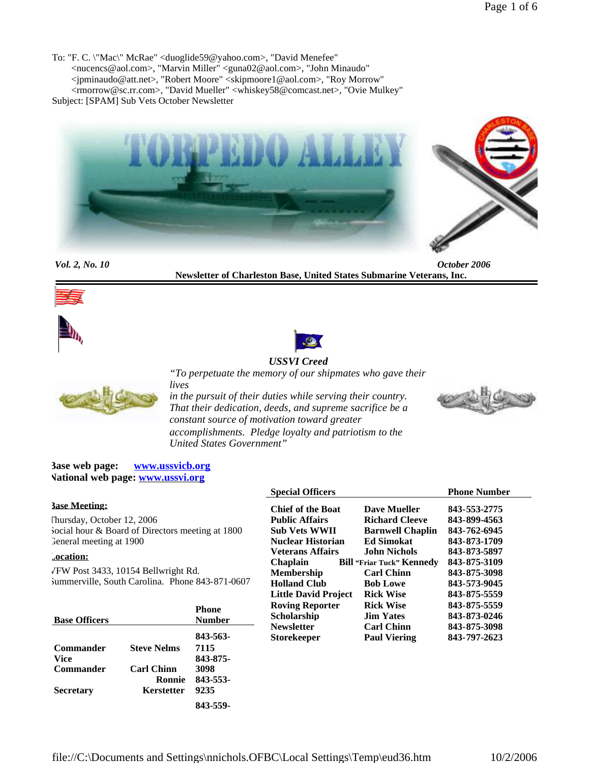To: "F. C. \"Mac\" McRae" <duoglide59@yahoo.com>, "David Menefee" <nucencs@aol.com>, "Marvin Miller" <guna02@aol.com>, "John Minaudo" <jpminaudo@att.net>, "Robert Moore" <skipmoore1@aol.com>, "Roy Morrow" <rmorrow@sc.rr.com>, "David Mueller" <whiskey58@comcast.net>, "Ovie Mulkey" Subject: [SPAM] Sub Vets October Newsletter



*Vol. 2, No. 10 October 2006* **Newsletter of Charleston Base, United States Submarine Veterans, Inc.**





**Secretary**



# *USSVI Creed*



*"To perpetuate the memory of our shipmates who gave their lives*

*in the pursuit of their duties while serving their country. That their dedication, deeds, and supreme sacrifice be a constant source of motivation toward greater accomplishments. Pledge loyalty and patriotism to the United States Government"*



**Base web page: www.ussvicb.org National web page: www.ussvi.org**

|                                                  |                    |                          | <b>Special Officers</b>          |                     | <b>Phone Number</b> |
|--------------------------------------------------|--------------------|--------------------------|----------------------------------|---------------------|---------------------|
| <b>Base Meeting:</b>                             |                    | <b>Chief of the Boat</b> | Dave Mueller                     | 843-553-2775        |                     |
| Thursday, October 12, 2006                       |                    | <b>Public Affairs</b>    | <b>Richard Cleeve</b>            | 843-899-4563        |                     |
| Social hour & Board of Directors meeting at 1800 |                    | <b>Sub Vets WWII</b>     | <b>Barnwell Chaplin</b>          | 843-762-6945        |                     |
| General meeting at 1900                          |                    | <b>Nuclear Historian</b> | <b>Ed Simokat</b>                | 843-873-1709        |                     |
| <b>Location:</b>                                 |                    | <b>Veterans Affairs</b>  | <b>John Nichols</b>              | 843-873-5897        |                     |
|                                                  |                    | <b>Chaplain</b>          | <b>Bill "Friar Tuck" Kennedy</b> | 843-875-3109        |                     |
| VFW Post 3433, 10154 Bellwright Rd.              |                    | <b>Membership</b>        | <b>Carl Chinn</b>                | 843-875-3098        |                     |
| Summerville, South Carolina. Phone 843-871-0607  |                    | <b>Holland Club</b>      | <b>Bob Lowe</b>                  | 843-573-9045        |                     |
|                                                  |                    |                          | <b>Little David Project</b>      | <b>Rick Wise</b>    | 843-875-5559        |
|                                                  |                    | <b>Phone</b>             | <b>Roving Reporter</b>           | <b>Rick Wise</b>    | 843-875-5559        |
| <b>Base Officers</b>                             |                    | <b>Number</b>            | <b>Scholarship</b>               | <b>Jim Yates</b>    | 843-873-0246        |
|                                                  |                    |                          | <b>Newsletter</b>                | <b>Carl Chinn</b>   | 843-875-3098        |
|                                                  |                    | 843-563-                 | <b>Storekeeper</b>               | <b>Paul Viering</b> | 843-797-2623        |
| <b>Commander</b>                                 | <b>Steve Nelms</b> | 7115                     |                                  |                     |                     |
| <b>Vice</b>                                      |                    | 843-875-                 |                                  |                     |                     |
| Commander                                        | <b>Carl Chinn</b>  | 3098                     |                                  |                     |                     |

**Ronnie 843-553-**

**9235 843-559-**

**Kerstetter**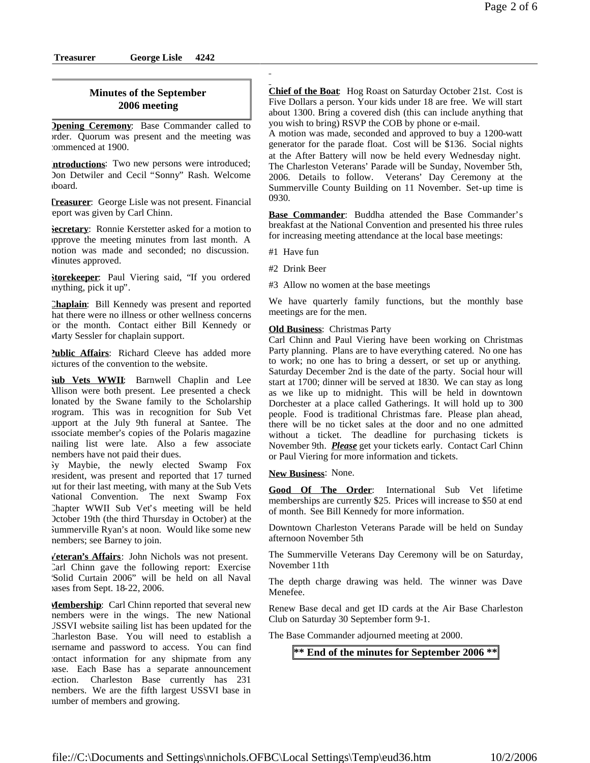# **Minutes of the September 2006 meeting**

**<u>Dpening Ceremony</u>**: Base Commander called to order. Quorum was present and the meeting was commenced at 1900.

**Introductions**: Two new persons were introduced; Don Detwiler and Cecil "Sonny" Rash. Welcome aboard.

**Treasurer**: George Lisle was not present. Financial eport was given by Carl Chinn.

**Secretary**: Ronnie Kerstetter asked for a motion to approve the meeting minutes from last month. A motion was made and seconded; no discussion. Minutes approved.

**Storekeeper**: Paul Viering said, "If you ordered anything, pick it up".

**Chaplain**: Bill Kennedy was present and reported hat there were no illness or other wellness concerns for the month. Contact either Bill Kennedy or Marty Sessler for chaplain support.

**Public Affairs:** Richard Cleeve has added more pictures of the convention to the website.

**Sub Vets WWII**: Barnwell Chaplin and Lee Allison were both present. Lee presented a check lonated by the Swane family to the Scholarship program. This was in recognition for Sub Vet support at the July 9th funeral at Santee. The associate member's copies of the Polaris magazine mailing list were late. Also a few associate members have not paid their dues.

Sy Maybie, the newly elected Swamp Fox president, was present and reported that 17 turned out for their last meeting, with many at the Sub Vets National Convention. The next Swamp Fox Chapter WWII Sub Vet's meeting will be held October 19th (the third Thursday in October) at the Summerville Ryan's at noon. Would like some new members; see Barney to join.

**Veteran's Affairs**: John Nichols was not present. Carl Chinn gave the following report: Exercise "Solid Curtain 2006" will be held on all Naval bases from Sept. 18-22, 2006.

**Membership**: Carl Chinn reported that several new members were in the wings. The new National USSVI website sailing list has been updated for the Charleston Base. You will need to establish a username and password to access. You can find contact information for any shipmate from any base. Each Base has a separate announcement section. Charleston Base currently has 231 members. We are the fifth largest USSVI base in number of members and growing.

**Chief of the Boat**: Hog Roast on Saturday October 21st. Cost is Five Dollars a person. Your kids under 18 are free. We will start about 1300. Bring a covered dish (this can include anything that you wish to bring) RSVP the COB by phone or e-mail.

A motion was made, seconded and approved to buy a 1200-watt generator for the parade float. Cost will be \$136. Social nights at the After Battery will now be held every Wednesday night. The Charleston Veterans' Parade will be Sunday, November 5th, 2006. Details to follow. Veterans' Day Ceremony at the Summerville County Building on 11 November. Set-up time is 0930.

**Base Commander**: Buddha attended the Base Commander's breakfast at the National Convention and presented his three rules for increasing meeting attendance at the local base meetings:

#1 Have fun

#2 Drink Beer

#3 Allow no women at the base meetings

We have quarterly family functions, but the monthly base meetings are for the men.

## **Old Business**: Christmas Party

Carl Chinn and Paul Viering have been working on Christmas Party planning. Plans are to have everything catered. No one has to work; no one has to bring a dessert, or set up or anything. Saturday December 2nd is the date of the party. Social hour will start at 1700; dinner will be served at 1830. We can stay as long as we like up to midnight. This will be held in downtown Dorchester at a place called Gatherings. It will hold up to 300 people. Food is traditional Christmas fare. Please plan ahead, there will be no ticket sales at the door and no one admitted without a ticket. The deadline for purchasing tickets is November 9th. *Please* get your tickets early. Contact Carl Chinn or Paul Viering for more information and tickets.

**New Business**: None.

**Good Of The Order**: International Sub Vet lifetime memberships are currently \$25. Prices will increase to \$50 at end of month. See Bill Kennedy for more information.

Downtown Charleston Veterans Parade will be held on Sunday afternoon November 5th

The Summerville Veterans Day Ceremony will be on Saturday, November 11th

The depth charge drawing was held. The winner was Dave Menefee.

Renew Base decal and get ID cards at the Air Base Charleston Club on Saturday 30 September form 9-1.

The Base Commander adjourned meeting at 2000.

# **\*\* End of the minutes for September 2006 \*\***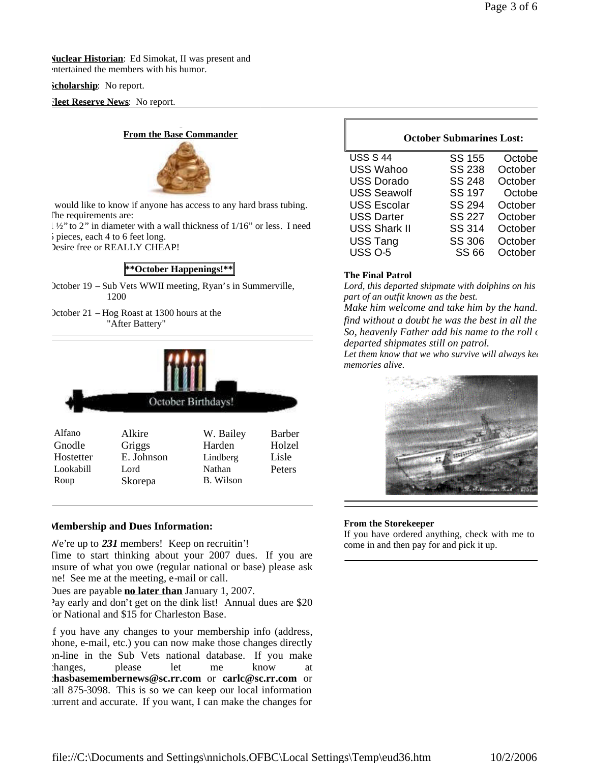**Nuclear Historian**: Ed Simokat, II was present and entertained the members with his humor.

### **Scholarship**: No report.

**Heet Reserve News:** No report.

# **From the Base Commander**



would like to know if anyone has access to any hard brass tubing. The requirements are:

1 ½" to 2" in diameter with a wall thickness of 1/16" or less. I need 5 pieces, each 4 to 6 feet long.

Desire free or REALLY CHEAP!

# **\*\*October Happenings!\*\***

October 19 – Sub Vets WWII meeting, Ryan's in Summerville, 1200

October 21 – Hog Roast at 1300 hours at the "After Battery"



## **Membership and Dues Information:**

We're up to *231* members! Keep on recruitin'! Time to start thinking about your 2007 dues. If you are unsure of what you owe (regular national or base) please ask me! See me at the meeting, e-mail or call.

Dues are payable **no later than** January 1, 2007.

Pay early and don't get on the dink list! Annual dues are \$20 or National and \$15 for Charleston Base.

If you have any changes to your membership info (address, phone, e-mail, etc.) you can now make those changes directly on-line in the Sub Vets national database. If you make changes, please let me know at **chasbasemembernews@sc.rr.com** or **carlc@sc.rr.com** or call 875-3098. This is so we can keep our local information current and accurate. If you want, I can make the changes for

## **October Submarines Lost:**

| <b>USS S 44</b><br><b>SS 155</b><br>Octobe     |
|------------------------------------------------|
| <b>SS 238</b><br><b>USS Wahoo</b><br>October   |
| <b>USS Dorado</b><br><b>SS 248</b><br>October  |
| <b>SS 197</b><br><b>USS Seawolf</b><br>Octobe  |
| <b>SS 294</b><br><b>USS Escolar</b><br>October |
| <b>SS 227</b><br><b>USS Darter</b><br>October  |
| <b>USS Shark II</b><br>SS 314<br>October       |
| <b>USS Tang</b><br><b>SS 306</b><br>October    |
| <b>USS 0-5</b><br><b>SS 66</b><br>October      |

## **The Final Patrol**

Lord, this departed shipmate with dolphins on his *part of an outfit known as the best.*

*Make him welcome and take him by the hand. find without a doubt he was the best in all the* So, heavenly Father add his name to the roll of *departed shipmates still on patrol.*

Let them know that we who survive will always kee *memories alive.*



### **From the Storekeeper**

If you have ordered anything, check with me to come in and then pay for and pick it up.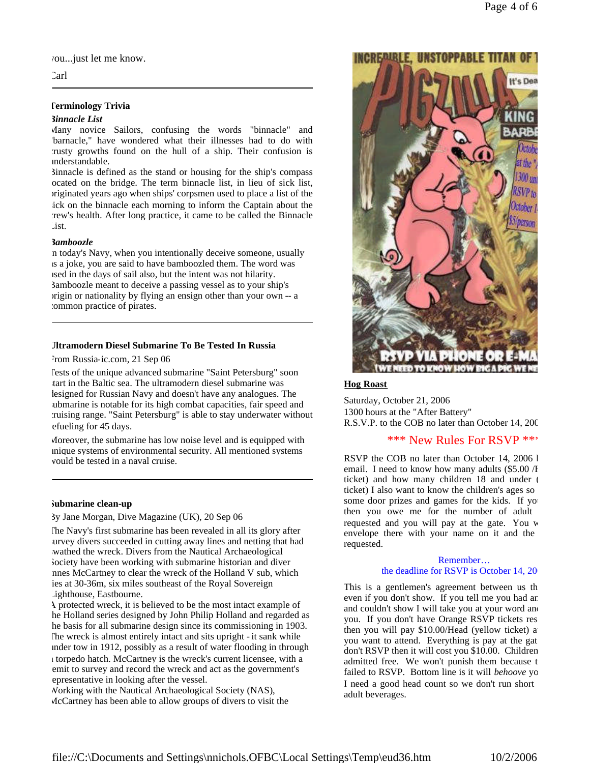you...just let me know.

Carl

### **Terminology Trivia**

#### *Binnacle List*

Many novice Sailors, confusing the words "binnacle" and "barnacle," have wondered what their illnesses had to do with crusty growths found on the hull of a ship. Their confusion is understandable.

Binnacle is defined as the stand or housing for the ship's compass located on the bridge. The term binnacle list, in lieu of sick list, originated years ago when ships' corpsmen used to place a list of the sick on the binnacle each morning to inform the Captain about the crew's health. After long practice, it came to be called the Binnacle List.

#### *Bamboozle*

In today's Navy, when you intentionally deceive someone, usually as a joke, you are said to have bamboozled them. The word was used in the days of sail also, but the intent was not hilarity. Bamboozle meant to deceive a passing vessel as to your ship's origin or nationality by flying an ensign other than your own -- a common practice of pirates.

#### **Ultramodern Diesel Submarine To Be Tested In Russia**

From Russia-ic.com, 21 Sep 06

Tests of the unique advanced submarine "Saint Petersburg" soon start in the Baltic sea. The ultramodern diesel submarine was designed for Russian Navy and doesn't have any analogues. The submarine is notable for its high combat capacities, fair speed and cruising range. "Saint Petersburg" is able to stay underwater without efueling for 45 days.

Moreover, the submarine has low noise level and is equipped with unique systems of environmental security. All mentioned systems would be tested in a naval cruise.

### **Submarine clean-up**

#### By Jane Morgan, Dive Magazine (UK), 20 Sep 06

The Navy's first submarine has been revealed in all its glory after survey divers succeeded in cutting away lines and netting that had wathed the wreck. Divers from the Nautical Archaeological Society have been working with submarine historian and diver Innes McCartney to clear the wreck of the Holland V sub, which lies at 30-36m, six miles southeast of the Royal Sovereign Lighthouse, Eastbourne.

A protected wreck, it is believed to be the most intact example of he Holland series designed by John Philip Holland and regarded as he basis for all submarine design since its commissioning in 1903. The wreck is almost entirely intact and sits upright - it sank while under tow in 1912, possibly as a result of water flooding in through a torpedo hatch. McCartney is the wreck's current licensee, with a emit to survey and record the wreck and act as the government's epresentative in looking after the vessel.

Working with the Nautical Archaeological Society (NAS), McCartney has been able to allow groups of divers to visit the



#### **Hog Roast**

Saturday, October 21, 2006 1300 hours at the "After Battery" R.S.V.P. to the COB no later than October 14, 200

## \*\*\* New Rules For RSVP \*\*\*

RSVP the COB no later than October 14, 2006 by email. I need to know how many adults  $(\$5.00 /H)$ ticket) and how many children  $18$  and under  $\ell$ ticket) I also want to know the children's ages so some door prizes and games for the kids. If yo then you owe me for the number of adult requested and you will pay at the gate. You w envelope there with your name on it and the requested.

#### Remember… the deadline for RSVP is October 14, 20

This is a gentlemen's agreement between us that even if you don't show. If you tell me you had an and couldn't show I will take you at your word and you. If you don't have Orange RSVP tickets res then you will pay \$10.00/Head (yellow ticket) a you want to attend. Everything is pay at the gat don't RSVP then it will cost you \$10.00. Children admitted free. We won't punish them because t failed to RSVP. Bottom line is it will *behoove* yo I need a good head count so we don't run short adult beverages.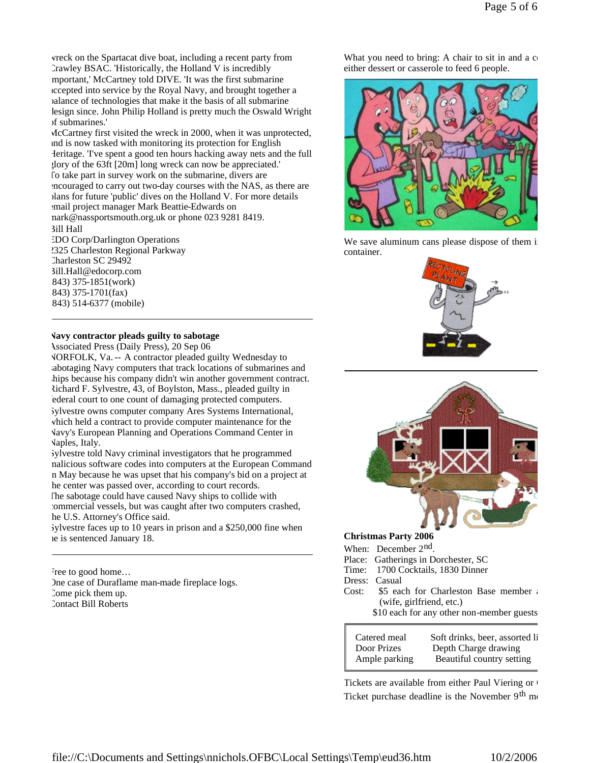wreck on the Spartacat dive boat, including a recent party from Crawley BSAC. 'Historically, the Holland V is incredibly mportant,' McCartney told DIVE. 'It was the first submarine accepted into service by the Royal Navy, and brought together a balance of technologies that make it the basis of all submarine design since. John Philip Holland is pretty much the Oswald Wright of submarines.'

McCartney first visited the wreck in 2000, when it was unprotected, and is now tasked with monitoring its protection for English Heritage. 'I've spent a good ten hours hacking away nets and the full glory of the 63ft [20m] long wreck can now be appreciated.' To take part in survey work on the submarine, divers are encouraged to carry out two-day courses with the NAS, as there are plans for future 'public' dives on the Holland V. For more details email project manager Mark Beattie-Edwards on mark@nassportsmouth.org.uk or phone 023 9281 8419. Bill Hall EDO Corp/Darlington Operations

2325 Charleston Regional Parkway Charleston SC 29492 Bill.Hall@edocorp.com (843) 375-1851(work) (843) 375-1701(fax) (843) 514-6377 (mobile)

# **Navy contractor pleads guilty to sabotage**

Associated Press (Daily Press), 20 Sep 06

NORFOLK, Va. -- A contractor pleaded guilty Wednesday to abotaging Navy computers that track locations of submarines and hips because his company didn't win another government contract. Richard F. Sylvestre, 43, of Boylston, Mass., pleaded guilty in federal court to one count of damaging protected computers. Sylvestre owns computer company Ares Systems International, which held a contract to provide computer maintenance for the Navy's European Planning and Operations Command Center in Naples, Italy.

Sylvestre told Navy criminal investigators that he programmed malicious software codes into computers at the European Command in May because he was upset that his company's bid on a project at the center was passed over, according to court records.

The sabotage could have caused Navy ships to collide with commercial vessels, but was caught after two computers crashed, he U.S. Attorney's Office said.

Sylvestre faces up to 10 years in prison and a \$250,000 fine when he is sentenced January 18.

Free to good home... One case of Duraflame man-made fireplace logs. Come pick them up. Contact Bill Roberts

What you need to bring: A chair to sit in and a  $c<sub>0</sub>$ either dessert or casserole to feed 6 people.



We save aluminum cans please dispose of them in container.





#### **Christmas Party 2006**

When: December 2<sup>nd</sup>.

- Place: Gatherings in Dorchester, SC
- Time: 1700 Cocktails, 1830 Dinner
- Dress: Casual
- Cost: \$5 each for Charleston Base member and 1 (wife, girlfriend, etc.)
	- \$10 each for any other non-member guests

Catered meal Soft drinks, beer, assorted liquor-Door Prizes Depth Charge drawing Ample parking Beautiful country setting

Tickets are available from either Paul Viering or Ticket purchase deadline is the November  $9<sup>th</sup>$  me